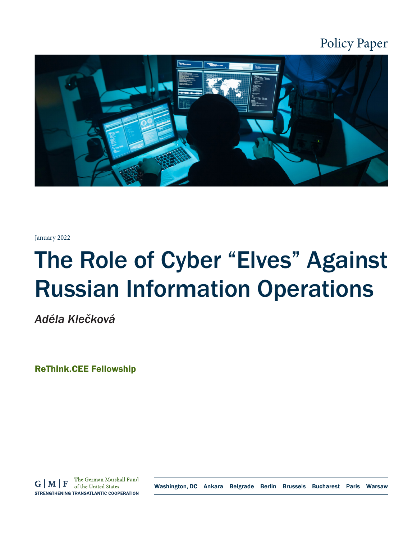

January 2022

# The Role of Cyber "Elves" Against Russian Information Operations

*Adéla Klečková*

ReThink.CEE Fellowship

The German Marshall Fund  $G|M|F$ of the United States STRENGTHENING TRANSATLANTIC COOPERATION

Washington, DC Ankara Belgrade Berlin Brussels Bucharest Paris Warsaw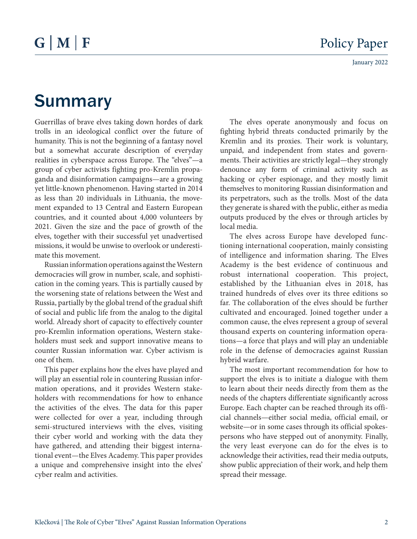# Summary

Guerrillas of brave elves taking down hordes of dark trolls in an ideological conflict over the future of humanity. This is not the beginning of a fantasy novel but a somewhat accurate description of everyday realities in cyberspace across Europe. The "elves"—a group of cyber activists fighting pro-Kremlin propaganda and disinformation campaigns—are a growing yet little-known phenomenon. Having started in 2014 as less than 20 individuals in Lithuania, the movement expanded to 13 Central and Eastern European countries, and it counted about 4,000 volunteers by 2021. Given the size and the pace of growth of the elves, together with their successful yet unadvertised missions, it would be unwise to overlook or underestimate this movement.

Russian information operations against the Western democracies will grow in number, scale, and sophistication in the coming years. This is partially caused by the worsening state of relations between the West and Russia, partially by the global trend of the gradual shift of social and public life from the analog to the digital world. Already short of capacity to effectively counter pro-Kremlin information operations, Western stakeholders must seek and support innovative means to counter Russian information war. Cyber activism is one of them.

This paper explains how the elves have played and will play an essential role in countering Russian information operations, and it provides Western stakeholders with recommendations for how to enhance the activities of the elves. The data for this paper were collected for over a year, including through semi-structured interviews with the elves, visiting their cyber world and working with the data they have gathered, and attending their biggest international event—the Elves Academy. This paper provides a unique and comprehensive insight into the elves' cyber realm and activities.

The elves operate anonymously and focus on fighting hybrid threats conducted primarily by the Kremlin and its proxies. Their work is voluntary, unpaid, and independent from states and governments. Their activities are strictly legal—they strongly denounce any form of criminal activity such as hacking or cyber espionage, and they mostly limit themselves to monitoring Russian disinformation and its perpetrators, such as the trolls. Most of the data they generate is shared with the public, either as media outputs produced by the elves or through articles by local media.

The elves across Europe have developed functioning international cooperation, mainly consisting of intelligence and information sharing. The Elves Academy is the best evidence of continuous and robust international cooperation. This project, established by the Lithuanian elves in 2018, has trained hundreds of elves over its three editions so far. The collaboration of the elves should be further cultivated and encouraged. Joined together under a common cause, the elves represent a group of several thousand experts on countering information operations—a force that plays and will play an undeniable role in the defense of democracies against Russian hybrid warfare.

The most important recommendation for how to support the elves is to initiate a dialogue with them to learn about their needs directly from them as the needs of the chapters differentiate significantly across Europe. Each chapter can be reached through its official channels—either social media, official email, or website—or in some cases through its official spokespersons who have stepped out of anonymity. Finally, the very least everyone can do for the elves is to acknowledge their activities, read their media outputs, show public appreciation of their work, and help them spread their message.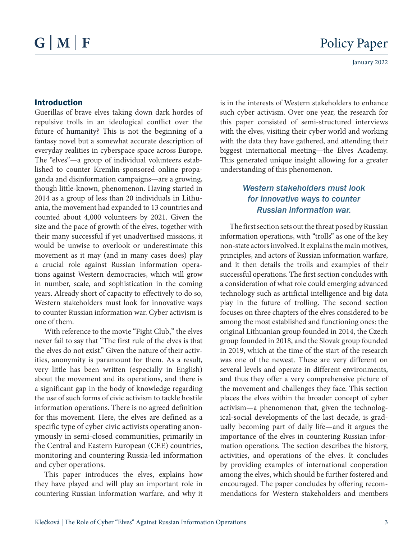#### Introduction

Guerillas of brave elves taking down dark hordes of repulsive trolls in an ideological conflict over the future of humanity? This is not the beginning of a fantasy novel but a somewhat accurate description of everyday realities in cyberspace space across Europe. The "elves"—a group of individual volunteers established to counter Kremlin-sponsored online propaganda and disinformation campaigns—are a growing, though little-known, phenomenon. Having started in 2014 as a group of less than 20 individuals in Lithuania, the movement had expanded to 13 countries and counted about 4,000 volunteers by 2021. Given the size and the pace of growth of the elves, together with their many successful if yet unadvertised missions, it would be unwise to overlook or underestimate this movement as it may (and in many cases does) play a crucial role against Russian information operations against Western democracies, which will grow in number, scale, and sophistication in the coming years. Already short of capacity to effectively to do so, Western stakeholders must look for innovative ways to counter Russian information war. Cyber activism is one of them.

With reference to the movie "Fight Club," the elves never fail to say that "The first rule of the elves is that the elves do not exist." Given the nature of their activities, anonymity is paramount for them. As a result, very little has been written (especially in English) about the movement and its operations, and there is a significant gap in the body of knowledge regarding the use of such forms of civic activism to tackle hostile information operations. There is no agreed definition for this movement. Here, the elves are defined as a specific type of cyber civic activists operating anonymously in semi-closed communities, primarily in the Central and Eastern European (CEE) countries, monitoring and countering Russia-led information and cyber operations.

This paper introduces the elves, explains how they have played and will play an important role in countering Russian information warfare, and why it

is in the interests of Western stakeholders to enhance such cyber activism. Over one year, the research for this paper consisted of semi-structured interviews with the elves, visiting their cyber world and working with the data they have gathered, and attending their biggest international meeting—the Elves Academy. This generated unique insight allowing for a greater understanding of this phenomenon.

# *Western stakeholders must look for innovative ways to counter Russian information war.*

The first section sets out the threat posed by Russian information operations, with "trolls" as one of the key non-state actors involved. It explains the main motives, principles, and actors of Russian information warfare, and it then details the trolls and examples of their successful operations. The first section concludes with a consideration of what role could emerging advanced technology such as artificial intelligence and big data play in the future of trolling. The second section focuses on three chapters of the elves considered to be among the most established and functioning ones: the original Lithuanian group founded in 2014, the Czech group founded in 2018, and the Slovak group founded in 2019, which at the time of the start of the research was one of the newest. These are very different on several levels and operate in different environments, and thus they offer a very comprehensive picture of the movement and challenges they face. This section places the elves within the broader concept of cyber activism—a phenomenon that, given the technological-social developments of the last decade, is gradually becoming part of daily life—and it argues the importance of the elves in countering Russian information operations. The section describes the history, activities, and operations of the elves. It concludes by providing examples of international cooperation among the elves, which should be further fostered and encouraged. The paper concludes by offering recommendations for Western stakeholders and members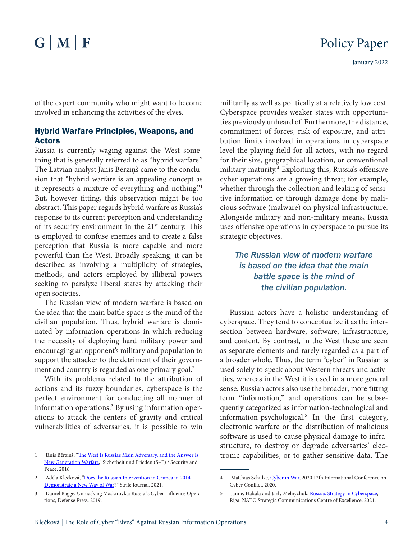of the expert community who might want to become involved in enhancing the activities of the elves.

#### Hybrid Warfare Principles, Weapons, and Actors

Russia is currently waging against the West something that is generally referred to as "hybrid warfare." The Latvian analyst Jānis Bērziņš came to the conclusion that "hybrid warfare is an appealing concept as it represents a mixture of everything and nothing."<sup>1</sup> But, however fitting, this observation might be too abstract. This paper regards hybrid warfare as Russia's response to its current perception and understanding of its security environment in the  $21<sup>st</sup>$  century. This is employed to confuse enemies and to create a false perception that Russia is more capable and more powerful than the West. Broadly speaking, it can be described as involving a multiplicity of strategies, methods, and actors employed by illiberal powers seeking to paralyze liberal states by attacking their open societies.

The Russian view of modern warfare is based on the idea that the main battle space is the mind of the civilian population. Thus, hybrid warfare is dominated by information operations in which reducing the necessity of deploying hard military power and encouraging an opponent's military and population to support the attacker to the detriment of their [govern](https://sldinfo.com/wp-content/uploads/2014/05/New-Generation-Warfare.pdf)[ment and country is regarded as one primary goal.](https://sldinfo.com/wp-content/uploads/2014/05/New-Generation-Warfare.pdf)<sup>2</sup>

With its problems related to the attribution of actions and its fuzzy boundaries, cyberspace is the perfect environment for conducting all manner of information operations.<sup>3</sup> By using information operations to attack the centers of gravity and critical vulnerabilities of adversaries, it is possible to win

militarily as well as politically at a relatively low cost. Cyberspace provides weaker states with opportunities previously unheard of. Furthermore, the distance, commitment of forces, risk of exposure, and attribution limits involved in operations in cyberspace level the playing field for all actors, with no regard for their size, geographical location, or conventional [military maturity.4](http://www.apple.com/cz) Exploiting this, Russia's offensive cyber operations are a growing threat; for example, whether through the collection and leaking of sensitive information or through damage done by malicious software (malware) on physical infrastructure. Alongside military and non-military means, Russia uses offensive operations in cyberspace to pursue its strategic objectives.

# *The Russian view of modern warfare is based on the idea that the main battle space is the mind of the civilian population.*

Russian actors have a holistic understanding of cyberspace. They tend to conceptualize it as the intersection between hardware, software, infrastructure, and content. By contrast, in the West these are seen as separate elements and rarely regarded as a part of a broader whole. Thus, the term "cyber" in Russian is used solely to speak about Western threats and activities, whereas in the West it is used in a more general sense. Russian actors also use the broader, [more fitting](https://stratcomcoe.org/publications/russias-strategy-in-cyberspace/210)  [term "information,"](https://stratcomcoe.org/publications/russias-strategy-in-cyberspace/210) and operations can be subsequently categorized as information-technological and information-psychological.5 In the first category, electronic warfare or the distribution of malicious software is used to cause physical damage to infrastructure, to destroy or degrade adversaries' electronic capabilities, or to gather sensitive data. The

<sup>1</sup> Jānis Bērziņš, "The West Is Russia's Main Adversary, and the Answer Is [New Generation Warfare](https://www.jstor.org/stable/26428998.)," Sicherheit und Frieden (S+F) / Security and Peace, 2016.

<sup>2</sup> Adéla Klečková, ["Does the Russian Intervention in Crimea in 2014](https://www.strifejournal.org/wp-content/uploads/2021/11/STRIFE_15_16_KLECKOVA_51_60.pdf)  [Demonstrate a New Way of War?](https://www.strifejournal.org/wp-content/uploads/2021/11/STRIFE_15_16_KLECKOVA_51_60.pdf)" Strife Journal, 2021.

<sup>3</sup> Daniel Bagge, Unmasking Maskirovka: Russia´s Cyber Influence Operations, Defense Press, 2019.

<sup>4</sup> Matthias Schulze, [Cyber in War,](https://ccdcoe.org/uploads/2020/05/CyCon_2020_10_Schulze.pdf.) 2020 12th International Conference on Cyber Conflict, 2020.

<sup>5</sup> Janne, Hakala and Jazly Melnychuk, [Russia's Strategy in Cyberspace,](https://stratcomcoe.org/publications/russias-strategy-in-cyberspace/210.) Riga: NATO Strategic Communications Centre of Excellence, 2021.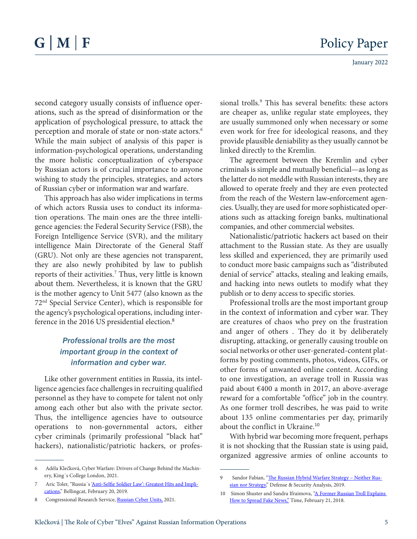January 2022

second category usually consists of influence operations, such as the spread of disinformation or the application of psychological pressure, to attack the perception and morale of state or non-state actors.<sup>6</sup> While the main subject of analysis of this paper is information-psychological operations, understanding the more holistic conceptualization of cyberspace by Russian actors is of crucial importance to anyone wishing to study the principles, strategies, and actors of Russian cyber or information war and warfare.

This approach has also wider implications in terms of which actors Russia uses to conduct its information operations. The main ones are the three intelligence agencies: the Federal Security Service (FSB), the Foreign Intelligence Service (SVR), and the military intelligence Main Directorate of the General Staff (GRU). Not only are these agencies not transparent, they are also newly prohibited by law to publish reports of their activities. 7 Thus, very little [is known](https://policehumanrightsresources.org/content/uploads/2016/08/Federal-Law-on-Federal-Security-Service-Russia-1995.pdf?x96812)  [about them. N](https://policehumanrightsresources.org/content/uploads/2016/08/Federal-Law-on-Federal-Security-Service-Russia-1995.pdf?x96812)evertheless, it is known that the GRU is the mother agency to Unit 5477 (also known as the 72nd Special Service Center), which is responsible for the agency's psychological operations, including interference in the 2016 US presidential election.<sup>8</sup>

## *Professional trolls are the most important group in the context of information and cyber war.*

Like other government entities in Russia, its intelligence agencies face challenges in recruiting qualified personnel as they have to compete for talent not only among each other but also with the private sector. Thus, the intelligence agencies have to outsource operations to non-governmental actors, either cyber criminals (primarily professional "black hat" hackers), nationalistic/patriotic hackers, or profes-

sional trolls.<sup>9</sup> This has several benefits: these actors are cheaper as, unlike regular state employees, they are usually summoned only when necessary or some even work for free for ideological reasons, and they provide plausible deniability as they usually cannot be linked directly to the Kremlin.

The agreement between the Kremlin and cyber criminals is simple and mutually beneficial—as long as the latter do not meddle with Russian interests, they are allowed to operate freely and they are even protected from the reach of the Western law-enforcement agencies. Usually, they are used for more sophisticated operations such as attacking foreign banks, multinational companies, and other commercial websites.

Nationalistic/patriotic hackers act based on their attachment to the Russian state. As they are usually less skilled and experienced, they are primarily used to conduct more basic campaigns such as "distributed denial of service" attacks, stealing and leaking emails, and hacking into news outlets to modify what they publish or to deny access to specific stories.

Professional trolls are the most important group in the context of information and cyber war. They are creatures of chaos who prey on the frustration and anger of others . They do it by deliberately disrupting, attacking, or generally causing trouble on social networks or other user-generated-content platforms by posting comments, photos, videos, GIFs, or other forms of unwanted online content. According to one investigation, an average troll in Russia was paid about €400 a month in 2017, an above-average reward for a comfortable "office" job in the country. As one former troll describes, he was paid to write about 135 online comm[entaries per day, primarily](https://www.pbs.org/newshour/show/inside-russias-propaganda-machine)  [about the conflict in Ukraine.](https://www.pbs.org/newshour/show/inside-russias-propaganda-machine)<sup>10</sup>

With hybrid war becoming more frequent, perhaps it is not shocking that the Russian state is using paid, organized aggressive armies of online accounts to

<sup>6</sup> Adéla Klečková, Cyber Warfare: Drivers of Change Behind the Machinery, King´s College London, 2021.

<sup>7</sup> Aric Toler, "Russia's ['Anti-Selfie Soldier Law': Greatest Hits and Impli](https://www.bellingcat.com/news/uk-and-europe/2019/02/20/russias-anti-selfie-soldier-law-greatest-hits-and-implications/)[cations,](https://www.bellingcat.com/news/uk-and-europe/2019/02/20/russias-anti-selfie-soldier-law-greatest-hits-and-implications/)" Bellingcat, February 20, 2019.

<sup>8</sup> Congressional Research Service, [Russian Cyber Units,](https://sgp.fas.org/crs/intel/R46616.pdf) 2021.

Sandor Fabian, "The Russian Hybrid Warfare Strategy - Neither Rus[sian nor Strategy](https://www.tandfonline.com/doi/abs/10.1080/14751798.2019.1640424?journalCode=cdan20)," Defense & Security Analysis, 2019.

<sup>10</sup> Simon Shuster and Sandra Ifraimova, "A Former Russian Troll Explains [How to Spread Fake News,"](https://time.com/5168202/russia-troll-internet-research-agency/) Time, February 21, 2018.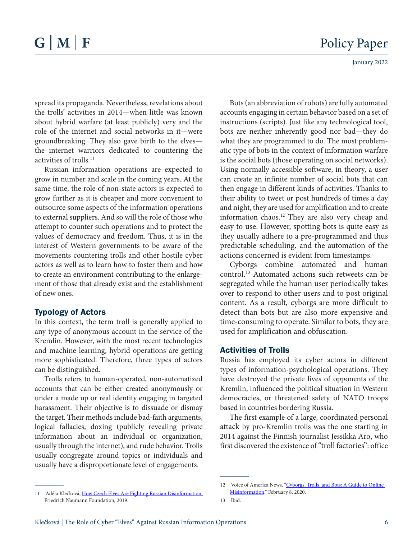January 2022

spread its propaganda. Nevertheless, revelations about the trolls' activities in 2014—when little was known about hybrid warfare (at least publicly) very and the role of the internet and social networks in it—were groundbreaking. They also gave birth to the elves the internet warriors dedicated to countering the activities of trolls.<sup>11</sup>

Russian information operations are expected to grow in number and scale in the coming years. At the same time, the role of non-state actors is expected to grow further as it is cheaper and more convenient to outsource some aspects of the information operations to external suppliers. And so will the role of those who attempt to counter such operations and to protect the values of democracy and freedom. Thus, it is in the interest of Western governments to be aware of the movements countering trolls and other hostile cyber actors as well as to learn how to foster them and how to create an environment contributing to the enlargement of those that already exist and the establishment of new ones.

#### Typology of Actors

In this context, the term troll is generally applied to any type of anonymous account in the service of the Kremlin. However, with the most recent technologies and machine learning, hybrid operations are getting more sophisticated. Therefore, three types of actors can be distinguished.

Trolls refers to human-operated, non-automatized accounts that can be either created anonymously or under a made up or real identity engaging in targeted harassment. Their objective is to dissuade or dismay the target. Their methods include bad-faith arguments, logical fallacies, doxing (publicly revealing private information about an individual or organization, usually through the internet), and rude behavior. Trolls usually congregate around topics or individuals and usually have a disproportionate level of engagements.

Bots (an abbreviation of robots) are fully automated accounts engaging in certain behavior based on a set of instructions (scripts). Just like any technological tool, bots are neither inherently good nor bad—they do what they are programmed to do. The most problematic type of bots in the context of information warfare is the social bots (those operating on social networks). Using normally accessible software, in theory, a user can create an infinite number of social bots that can then engage in different kinds of activities. [Thanks to](https://www.voanews.com/silicon-valley-technology/cyborgs-trolls-and-bots-guide-online-misinformation)  [their ability](https://www.voanews.com/silicon-valley-technology/cyborgs-trolls-and-bots-guide-online-misinformation) to tweet or post hundreds of times a day and night, they are used for amplification and to create information chaos.<sup>12</sup> They are also very cheap and easy to use. However, spotting bots is quite easy as they usually adhere to a pre-programmed and thus predictable scheduling, and the automation of the actions concerned is evident from timestamps.

Cyborgs combine automated and human control. <sup>13</sup> Automated actions such retweets can be segregated while the human user periodically takes over to respond to other users and to post original content. As a result, cyborgs are more difficult to detect than bots but are also more expensive and time-consuming to operate. Similar to bots, they are used for amplification and obfuscation.

#### Activities of Trolls

Russia has employed its cyber actors in different types of information-psychological operations. They have destroyed the private lives of opponents of the Kremlin, influenced the political situation in Western democracies, or threatened safety of NATO troops based in countries bordering Russia.

The first example of a large, coordinated personal attack by pro-Kremlin trolls was the one starting in 2014 against the Finnish journalist Jessikka Aro, who first discovered the existence of "troll factories": office

13 Ibid.

<sup>11</sup> Adéla Klečková, [How Czech Elves Are Fighting Russian Disinformation,](https://www.freiheit.org/de/deutschland/how-czech-elves-are-fighting-russian-disinformation) Friedrich Naumann Foundation, 2019.

<sup>12</sup> Voice of America News, "Cyborgs, Trolls, and Bots: A Guide to Online [Misinformation](https://www.voanews.com/a/silicon-valley-technology_cyborgs-trolls-and-bots-guide-online-misinformation/6183912.html)," February 8, 2020.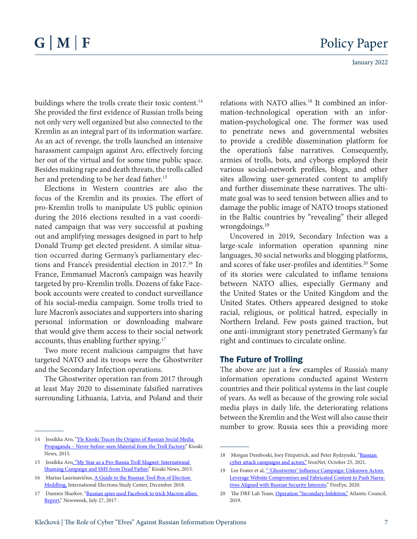buildings where the trolls create their toxic content.<sup>14</sup> She provided the first evidence of Russian trolls being not only very well organized but also connected to the Kremlin as an integral part of its information warfare. As an act of revenge, the trolls launched an intensive harassment campaign against Aro, effectively forcing her out of the virtual and for some time public space. Besides making rape and death threats, the trolls called her and [pretending to be her dead father.](https://www.smh.com.au/world/finnish-journalists-jessikka-aros-inquiry-into-russian-trolls-stirs-up-a-hornets-nest-20160311-gng8rk.html)<sup>15</sup>

Elections in Western countries are also the focus of the Kremlin and its proxies. The effort of pro-Kremlin trolls to manipulate US public opinion during the 2016 elections resulted in a vast coordinated campaign that was very successful at pushing out and amplifying messages designed in part to help Donald [Trump get elected president.](https://www.extra.cz/slovensko-se-toho-neboji-chysta-nahou-seznamku-kde-sympatie-urci-prirozeni-da112) A similar situation occurred during Germany's parliamentary elections and France's presidential election in 2017.<sup>16</sup> In France, Emmanuel Macron's campaign was heavily targeted by pro-Kremlin trolls. Dozens of fake Facebook accounts were created to conduct surveillance of his social-media campaign. Some trolls tried to lure Macron's associates and supporters into sharing personal information or downloading malware that would give them access to their social network accounts, thus enabling further spying.<sup>17</sup>

Two more recent malicious campaigns that have targeted NATO and its troops were the Ghostwriter and the Secondary Infection operations.

The [Ghostwriter](https://www.ironnet.com/blog/russian-cyber-attack-campaigns-and-actors) operation ran from 2017 through at least May 2020 to disseminate falsified narratives surrounding Lithuania, Latvia, and Poland and their

relations with NATO allies.<sup>18</sup> It combined an information-technological operation with an information-psychological one. The former was used to penetrate news and governmental websites to provide a credible dissemination platform for the operation's false narratives. Consequently, armies of trolls, bots, and cyborgs employed their various social-network profiles, blogs, and other sites allowing user-generated content to amplify and further disseminate these narratives. The ultimate goal was to seed tension between allies and to damage the public image of NATO troops stationed in the Baltic countries by "revealing" [their alleged](https://www.fireeye.com/content/dam/fireeye-www/blog/pdfs/Ghostwriter-Influence-Campaign.pdf)  [wrongdoings.](https://www.fireeye.com/content/dam/fireeye-www/blog/pdfs/Ghostwriter-Influence-Campaign.pdf)<sup>19</sup>

Uncovered in 2019, [Secondary Infection](https://www.atlanticcouncil.org/wp-content/uploads/2019/08/Operation-Secondary-Infektion_English.pdf) was a large-scale information operation spanning nine languages, 30 social networks and blogging platforms, and scores of fake user-profiles and identities.<sup>20</sup> Some of its stories were calculated to inflame tensions between NATO allies, especially Germany and the United States or the United Kingdom and the United States. Others appeared designed to stoke racial, religious, or political hatred, especially in Northern Ireland. Few posts gained traction, but one anti-immigrant story penetrated Germany's far right and continues to circulate online.

#### The Future of Trolling

The above are just a few examples of Russia's many information operations conducted against Western countries and their political systems in the last couple of years. As well as because of the growing role social media plays in daily life, the deteriorating relations between the Kremlin and the West will also cause their number to grow. Russia sees this a providing more

<sup>14</sup> Jessikka Aro, "Yle Kioski Traces the Origins of Russian Social Media [Propaganda – Never-before-seen Material from the Troll Factory](https://kioski.yle.fi/omat/at-the-origins-of-russian-propaganda)," Kioski News, 2015.

<sup>15</sup> Jessikka Aro, "My Year as a Pro-Russia Troll Magnet: International [Shaming Campaign and SMS from Dead Father](https://kioski.yle.fi/omat/my-year-as-a-pro-russia-troll-magnet)," Kioski News, 2015.

<sup>16</sup> Marius Laurinavičius, [A Guide to the Russian Tool Box of Election](http://iesc.lt/app/uploads/2018/10/IESC_Guide_ToolBox_2018_FINAL.pdf.)  [Meddling,](http://iesc.lt/app/uploads/2018/10/IESC_Guide_ToolBox_2018_FINAL.pdf.) International Elections Study Center, December 2018.

<sup>17</sup> Damien Sharkov, "Russian spies used Facebook to trick Macron allies: [Report](http://www.newsweek.com/ russian-spies-used-facebook-trick-macron-allies-report-642648)," Newsweek, July 27, 2017.

<sup>18</sup> Morgan Demboski, Joey Fitzpatrick, and Peter Rydzynski, "Russian cyber attack campaigns and actors," IronNet, October 25, 2021.

<sup>19</sup> Lee Foster et al, " 'Ghostwriter' Influence Campaign: Unknown Actors [Leverage Website Compromises and Fabricated Content to Push Narra](https://www.fireeye.com/blog/threat-research/2020/07/ghostwriter-influence-camp)[tives Aligned with Russian Security Interests,](https://www.fireeye.com/blog/threat-research/2020/07/ghostwriter-influence-camp)" FireEye, 2020.

<sup>20</sup> The DRF Lab Team, [Operation "Secondary Infektion,"](https://www.atlanticcouncil.org/wp-content/uploads/2019/08/Operation-Secondary-Infektion_English.pdf) Atlantic Council, 2019.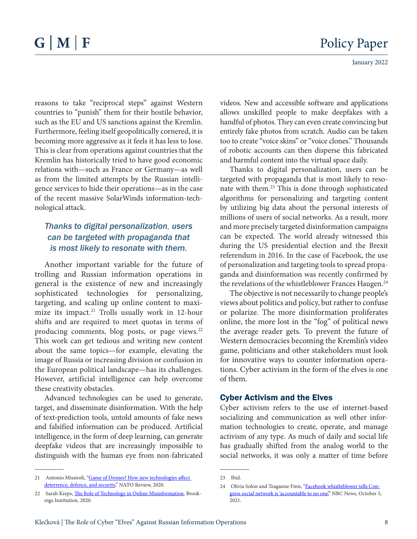reasons to take "reciprocal steps" against Western countries to "punish" them for their hostile behavior, such as the EU and US sanctions against the Kremlin. Furthermore, feeling itself geopolitically cornered, it is becoming more aggressive as it feels it has less to lose. This is clear from operations against countries that the Kremlin has historically tried to have good economic relations with—such as France or Germany—as well as from the limited attempts by the Russian intelligence services to hide their operations—as in the case of the recent massive SolarWinds information-technological attack.

# *Thanks to digital personalization, users can be targeted with propaganda that is most likely to [resonate with them.](https://www.brookings.edu/wp-content/uploads/2020/06/The-role-of-technology-in-online-misinformation.pdf)*

Another important variable for the future of trolling and Russian information operations in general is the existence of new and increasingly sophisticated technologies for personalizing, targeting, and scaling up online content [to maxi](https://www.nato.int/docu/review/articles/2020/05/05/game-of-drones-how-new-technologies-affect-deterrence-defence-and-security/index.html?utm_medium=email&utm_campaign=NATO+Review+Emerging+and+disruptive+technologies&utm_content=NATO+Review+Emerging+and+disruptive+technologies+CID_6c863933a90444666cd033e5a33e4225&utm_source=Email+marketing+software&utm_term=READ+MORE)[mize its impact.](https://www.nato.int/docu/review/articles/2020/05/05/game-of-drones-how-new-technologies-affect-deterrence-defence-and-security/index.html?utm_medium=email&utm_campaign=NATO+Review+Emerging+and+disruptive+technologies&utm_content=NATO+Review+Emerging+and+disruptive+technologies+CID_6c863933a90444666cd033e5a33e4225&utm_source=Email+marketing+software&utm_term=READ+MORE)<sup>21</sup> Trolls usually work in 12-hour shifts and are required to meet quotas in terms of producing comments, blog posts, or page views.<sup>22</sup> This work can get tedious and writing new content about the same topics—for example, elevating the image of Russia or increasing division or confusion in the European political landscape—has its challenges. However, artificial intelligence can help overcome these creativity obstacles.

Advanced technologies can be used to generate, target, and disseminate disinformation. With the help of text-prediction tools, untold amounts of fake news and falsified information can be produced. Artificial intelligence, in the form of deep learning, can generate deepfake videos that are increasingly impossible to distinguish with the human eye from non-fabricated

videos. New and accessible software and applications allows unskilled people to make deepfakes with a handful of photos. They can even create convincing but entirely fake photos from scratch. Audio can be taken too to create "voice skins" or "voice clones." Thousands of robotic accounts can then disperse this fabricated and harmful content into the virtual space daily.

Thanks to digital personalization, users can be targeted with propaganda that is most likely to [reso](https://www.brookings.edu/wp-content/uploads/2020/06/The-role-of-technology-in-online-misinformation.pdf)[nate with them.2](https://www.brookings.edu/wp-content/uploads/2020/06/The-role-of-technology-in-online-misinformation.pdf)3 This is done through sophisticated algorithms for personalizing and targeting content by utilizing big data about the personal interests of millions of users of social networks. As a result, more and more precisely targeted disinformation campaigns can be expected. The world already witnessed this during the US presidential election and the Brexit referendum in 2016. In the case of Facebook, the use of personalization and targeting tools to spread propaganda and disinformation was recently confirmed by the revelations of the whistleblower Frances Haugen.<sup>24</sup>

The objective is not necessarily to change people's views about politics and policy, but rather to confuse or polarize. The more disinformation proliferates online, the more lost in the "fog" of political news the average reader gets. To prevent the future of Western democracies becoming the Kremlin's video game, politicians and other stakeholders must look for innovative ways to counter information operations. Cyber activism in the form of the elves is one of them.

#### Cyber Activism and the Elves

Cyber activism refers to the use of internet-based socializing and communication as well other information technologies to create, operate, and manage activism of any type. As much of daily and social life has gradually shifted from the analog world to the social networks, it was only a matter of time before

<sup>21</sup> Antonio Missiroli, "Game of Drones? How new technologies affect [deterrence, defence, and security](https://www.nato.int/docu/review/articles/2020/05/05/game-of-drones-how-new-technologies-affect-deterrence-defence-and-security/index.html?utm_medium=email&utm_campaign=NATO+Review+Emerging+and+disruptive+technologies&utm_content=NATO+Review+Emerging+and+disruptive+technologies+CID_6c863933a90444666cd033e5a33e4225&utm_source=Email+marketing+software&utm_term=READ+MORE)," NATO Review, 2020.

<sup>22</sup> Sarah Kreps, [The Role of Technology in Online Misinformation,](https://www.brookings.edu/wp-content/uploads/2020/06/The-role-of-technology-in-online-misinformation.pdf) Brookings Institution, 2020.

<sup>23</sup> Ibid.

<sup>24</sup> Olivia Solon and Teaganne Finn, ["Facebook whistleblower tells Con](https://www.nbcnews.com/politics/congress/facebook-whistleblower-tell-congress-social-network-accountable-no-one-n1280786)[gress social network is 'accountable to no one](https://www.nbcnews.com/politics/congress/facebook-whistleblower-tell-congress-social-network-accountable-no-one-n1280786)," NBC News, October 5, 2021.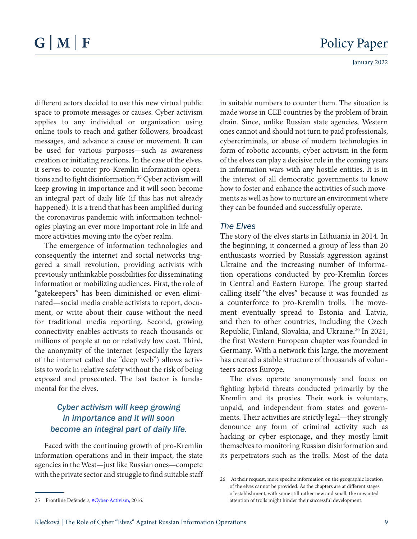different actors decided to use this new virtual public space to promote messages or causes. Cyber activism applies to any individual or organization using online tools to reach and gather followers, broadcast messages, and advance a cause or movement. It can be used for various purposes—such as awareness creation or initiating reactions. In the case of the elves, it serves to counter pro-Kremlin information operations and to fight disinformation.<sup>25</sup> Cyber activism will keep growing in importance and it will soon become an integral part of daily life (if this has not already happened). It is a trend that has been amplified during the coronavirus pandemic with information technologies playing an ever more important role in life and more activities moving into the cyber realm.

The emergence of information technologies and consequently the internet and social networks triggered a small revolution, providing activists with previously unthinkable possibilities for disseminating information or mobilizing audiences. First, the role of "gatekeepers" has been diminished or even eliminated—social media enable activists to report, document, or write about their cause without the need for traditional media reporting. Second, growing connectivity enables activists to reach thousands or millions of people at no or relatively low cost. Third, the anonymity of the internet (especially the layers of the internet called the "deep web") allows activists to work in relative safety without the risk of being exposed and prosecuted. The last factor is fundamental for the elves.

## *Cyber activism will keep growing in importance and it will soon become an integral part of daily life.*

Faced with the continuing growth of pro-Kremlin information operations and in their impact, the state agencies in the West—just like Russian ones—compete with the private sector and struggle to find suitable staff in suitable numbers to counter them. The situation is made worse in CEE countries by the problem of brain drain. Since, unlike Russian state agencies, Western ones cannot and should not turn to paid professionals, cybercriminals, or abuse of modern technologies in form of robotic accounts, cyber activism in the form of the elves can play a decisive role in the coming years in information wars with any hostile entities. It is in the interest of all democratic governments to know how to foster and enhance the activities of such movements as well as how to nurture an environment where they can be founded and successfully operate.

#### *The Elves*

The story of the elves starts in Lithuania in 2014. In the beginning, it concerned a group of less than 20 enthusiasts worried by Russia's aggression against Ukraine and the increasing number of information operations conducted by pro-Kremlin forces in Central and Eastern Europe. The group started calling itself "the elves" because it was founded as a counterforce to pro-Kremlin trolls. The movement eventually spread to Estonia and Latvia, and then to other countries, including the Czech Republic, Finland, Slovakia, and Ukraine. <sup>26</sup> In 2021, the first Western European chapter was founded in Germany. With a network this large, the movement has created a stable structure of thousands of volunteers across Europe.

The elves operate anonymously and focus on fighting hybrid threats conducted primarily by the Kremlin and its proxies. Their work is voluntary, unpaid, and independent from states and governments. Their activities are strictly legal—they strongly denounce any form of criminal activity such as hacking or cyber espionage, and they mostly limit themselves to monitoring Russian disinformation and its perpetrators such as the trolls. Most of the data

<sup>26</sup> At their request, more specific information on the geographic location of the elves cannot be provided. As the chapters are at different stages of establishment, with some still rather new and small, the unwanted attention of trolls might hinder their successful development.

<sup>25</sup> Frontline Defenders, [#Cyber-Activism,](https://www.frontlinedefenders.org/en/right/cyber-activism) 2016.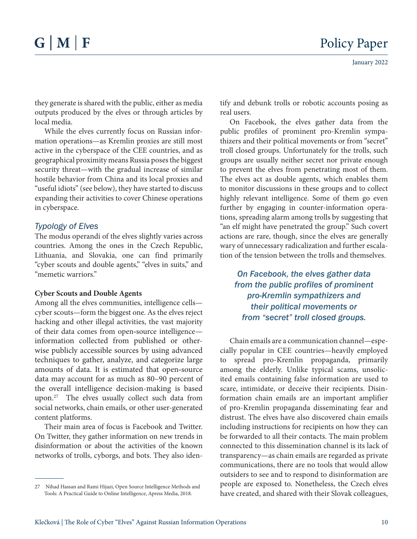they generate is shared with the public, either as media outputs produced by the elves or through articles by local media.

While the elves currently focus on Russian information operations—as Kremlin proxies are still most active in the cyberspace of the CEE countries, and as geographical proximity means Russia poses the biggest security threat—with the gradual increase of similar hostile behavior from China and its local proxies and "useful idiots" (see below), they have started to discuss expanding their activities to cover Chinese operations in cyberspace.

#### *Typology of Elves*

The modus operandi of the elves slightly varies across countries. Among the ones in the Czech Republic, Lithuania, and Slovakia, one can find primarily "cyber scouts and double agents," "elves in suits," and "memetic warriors."

#### **Cyber Scouts and Double Agents**

Among all the elves communities, intelligence cells cyber scouts—form the biggest one. As the elves reject hacking and other illegal activities, the vast majority of their data comes from open-source intelligence information collected from published or otherwise publicly accessible sources by using advanced techniques to gather, analyze, and categorize large amounts of data. It is estimated that open-source data may account for as much as 80–90 percent of the [overall intelligence decision-making is based](https://www.pssi.cz/download/docs/8539_pssi-alumni-brief-01-osint-4.pdf)  [upon.27](https://www.pssi.cz/download/docs/8539_pssi-alumni-brief-01-osint-4.pdf) The elves usually collect such data from social networks, chain emails, or other user-generated content platforms.

Their main area of focus is Facebook and Twitter. On Twitter, they gather information on new trends in disinformation or about the activities of the known networks of trolls, cyborgs, and bots. They also identify and debunk trolls or robotic accounts posing as real users.

On Facebook, the elves gather data from the public profiles of prominent pro-Kremlin sympathizers and their political movements or from "secret" troll closed groups. Unfortunately for the trolls, such groups are usually neither secret nor private enough to prevent the elves from penetrating most of them. The elves act as double agents, which enables them to monitor discussions in these groups and to collect highly relevant intelligence. Some of them go even further by engaging in counter-information operations, spreading alarm among trolls by suggesting that "an elf might have penetrated the group." Such covert actions are rare, though, since the elves are generally wary of unnecessary radicalization and further escalation of the tension between the trolls and themselves.

*On Facebook, the elves gather data from the public profiles of prominent pro-Kremlin sympathizers and their political movements or from "secret" troll closed groups.*

Chain emails are a communication channel—especially popular in CEE countries—heavily employed to spread pro-Kremlin propaganda, primarily among the elderly. Unlike typical scams, unsolicited emails containing false information are used to scare, intimidate, or deceive their recipients. Disinformation chain emails are an important amplifier of pro-Kremlin propaganda disseminating fear and distrust. The elves have also discovered chain emails including instructions for recipients on how they can be forwarded to all their contacts. The main problem connected to this dissemination channel is its lack of transparency—as chain emails are regarded as private communications, there are no tools that would allow outsiders to see and to respond to disinformation are people are exposed to. Nonetheless, the Czech elves have created, and shared with their Slovak colleagues,

<sup>27</sup> Nihad Hassan and Rami Hijazi, Open Source Intelligence Methods and Tools: A Practical Guide to Online Intelligence, Apress Media, 2018.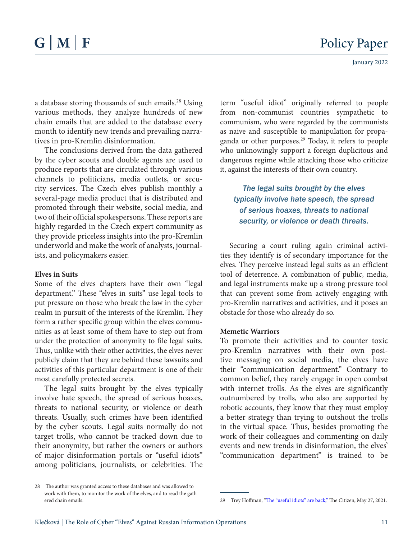a database storing thousands of such emails.<sup>28</sup> Using various methods, they analyze hundreds of new chain emails that are added to the database every month to identify new trends and prevailing narratives in pro-Kremlin disinformation.

The conclusions derived from the data gathered by the cyber scouts and double agents are used to produce reports that are circulated through various channels to politicians, media outlets, or security services. The Czech elves publish monthly a several-page media product that is distributed and promoted through their website, social media, and two of their official spokespersons. These reports are highly regarded in the Czech expert community as they provide priceless insights into the pro-Kremlin underworld and make the work of analysts, journalists, and policymakers easier.

#### **Elves in Suits**

Some of the elves chapters have their own "legal department." These "elves in suits" use legal tools to put pressure on those who break the law in the cyber realm in pursuit of the interests of the Kremlin. They form a rather specific group within the elves communities as at least some of them have to step out from under the protection of anonymity to file legal suits. Thus, unlike with their other activities, the elves never publicly claim that they are behind these lawsuits and activities of this particular department is one of their most carefully protected secrets.

The legal suits brought by the elves typically involve hate speech, the spread of serious hoaxes, threats to national security, or violence or death threats. Usually, such crimes have been identified by the cyber scouts. Legal suits normally do not target trolls, who cannot be tracked down due to their anonymity, but rather the owners or authors of major disinformation portals or "useful idiots" among politicians, journalists, or celebrities. The

term "useful idiot" originally referred to people from non-communist countries sympathetic to communism, who were regarded by the communists as naive and susceptible to manipulation for [propa](https://thecitizen.com/2021/05/27/the-useful-idiots-are-back/)[ganda or other purposes.2](https://thecitizen.com/2021/05/27/the-useful-idiots-are-back/)9 Today, it refers to people who unknowingly support a foreign duplicitous and dangerous regime while attacking those who criticize it, against the interests of their own country.

*The legal suits brought by the elves typically involve hate speech, the spread of serious hoaxes, threats to national security, or violence or death threats.* 

Securing a court ruling again criminal activities they identify is of secondary importance for the elves. They perceive instead legal suits as an efficient tool of deterrence. A combination of public, media, and legal instruments make up a strong pressure tool that can prevent some from actively engaging with pro-Kremlin narratives and activities, and it poses an obstacle for those who already do so.

#### **Memetic Warriors**

To promote their activities and to counter toxic pro-Kremlin narratives with their own positive messaging on social media, the elves have their "communication department." Contrary to common belief, they rarely engage in open combat with internet trolls. As the elves are significantly outnumbered by trolls, who also are supported by robotic accounts, they know that they must employ a better strategy than trying to outshout the trolls in the virtual space. Thus, besides promoting the work of their colleagues and commenting on daily events and new trends in disinformation, the elves' "communication department" is trained to be

<sup>28</sup> The author was granted access to these databases and was allowed to work with them, to monitor the work of the elves, and to read the gathered chain emails.

<sup>29</sup> Trey Hoffman, "[The "useful idiots" are back,"](https://thecitizen.com/2021/05/27/the-useful-idiots-are-back/) The Citizen, May 27, 2021.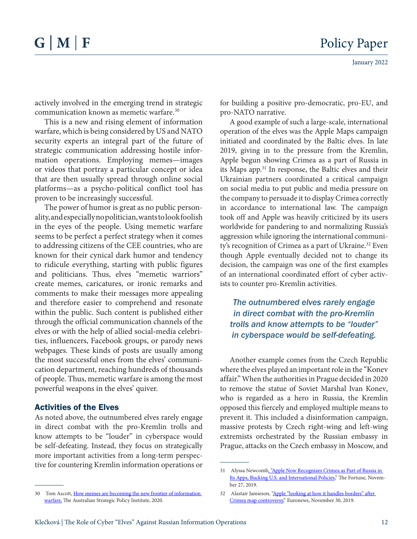actively involved in the emerging trend in strategic communication known as memetic warfare. 30

This is a new and rising element of information warfare, which is being considered by US and NATO security experts an integral part of the future of strategic communication addressing hostile information operations. Employing memes—images or videos that portray a particular concept or idea that are then usually spread through online social platforms—as a psycho-political conflict tool has proven to be increasingly successful.

The power of humor is great as no public personality, and especially no politician, wants to look foolish in the eyes of the people. Using memetic warfare seems to be perfect a perfect strategy when it comes to addressing citizens of the CEE countries, who are known for their cynical dark humor and tendency to ridicule everything, starting with public figures and politicians. Thus, elves "memetic warriors" create memes, caricatures, or ironic remarks and comments to make their messages more appealing and therefore easier to comprehend and resonate within the public. Such content is published either through the official communication channels of the elves or with the help of allied social-media celebrities, influencers, Facebook groups, or parody news webpages. These kinds of posts are usually among the most successful ones from the elves' communication department, reaching hundreds of thousands of people. Thus, memetic warfare is among the most powerful weapons in the elves' quiver.

#### Activities of the Elves

As noted above, the outnumbered elves rarely engage in direct combat with the pro-Kremlin trolls and know attempts to be "louder" in cyberspace would be self-defeating. Instead, they focus on strategically more important activities from a long-term perspective for countering Kremlin information operations or

A good example of such a large-scale, international operation of the elves was the Apple Maps campaign initiated and coordinated by the Baltic elves. In late 2019, giving in to the pressure from the Kremlin, Apple begun showing Crimea as a [part of Russia in](https://fortune.com/2019/11/27/apple-ukraine-crimea-russia/)  [its Maps app.3](https://fortune.com/2019/11/27/apple-ukraine-crimea-russia/)1 In response, the Baltic elves and their Ukrainian partners coordinated a critical campaign on social media to put public and media pressure on the company to persuade it to display Crimea correctly in accordance to international law. The campaign took off and Apple was heavily criticized by its users worldwide for pandering to and normalizing Russia's aggression while ignoring the international community's recognition of Crimea as a part of Ukraine.<sup>32</sup> Even though Apple eventually decided not to change its decision, the campaign was one of the first examples of an international coordinated effort of cyber activists to counter pro-Kremlin activities.

*The outnumbered elves rarely engage in direct combat with the pro-Kremlin trolls and know attempts to be "louder" in cyberspace would be self-defeating.* 

Another example comes from the Czech Republic where the elves played an important role in the "Konev affair." When the authorities in Prague decided in 2020 to remove the statue of Soviet Marshal Ivan Konev, who is regarded as a hero in Russia, the Kremlin opposed this fiercely and employed multiple means to prevent it. This included a disinformation campaign, massive protests by Czech right-wing and left-wing extremists orchestrated by the Russian embassy in Prague, attacks on the Czech embassy in Moscow, and

for building a positive pro-democratic, pro-EU, and pro-NATO narrative.

<sup>31</sup> Alyssa Newcom[b, "Apple Now Recognizes Crimea as Part of Russia in](https://fortune.com/2019/11/27/apple-ukraine-crimea-russia/)  [Its Apps, Bucking U.S. and International Policies,](https://fortune.com/2019/11/27/apple-ukraine-crimea-russia/)" The Fortune, November 27, 2019.

<sup>30</sup> Tom Ascott, How memes are becoming the new frontier of information [warfare,](https://www.aspistrategist.org.au/how-memes-are-becoming-the-new-frontier-of-information-warfare/) The Australian Strategic Policy Institute, 2020.

<sup>32</sup> Alastair Jamieson, "Apple "looking at how it handles borders" after [Crimea map controversy,](https://www.google.com/url?sa=t&rct=j&q=&esrc=s&source=web&cd=&cad=rja&uact=8&ved=2ahUKEwjf-MPRr8r1AhUyzYUKHbElBhkQFnoECAYQAQ&url=https%3A%2F%2Fwww.euronews.com%2F2019%2F11%2F30%2Fapple-maps-shows-annexed-crimea-as-russian-for-russian-users&usg=AOvVaw2YpC36Uf18_dHt4gtzKO8m)" Euronews, November 30, 2019.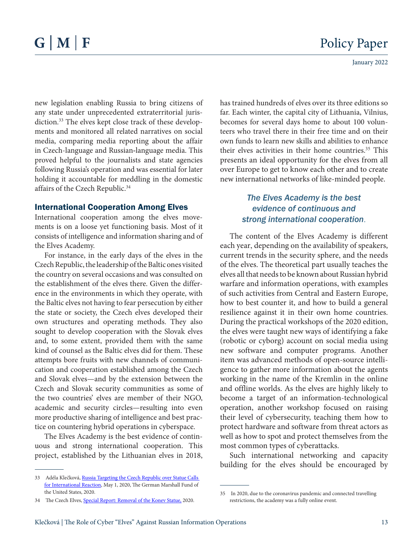new legislation enabling Russia to bring citizens of any state under unprecedented [extraterritorial juris](https://www.gmfus.org/blog/2020/05/01/russia-targeting-czech-republic-over-statue-calls-international-reaction)[diction.](https://www.gmfus.org/blog/2020/05/01/russia-targeting-czech-republic-over-statue-calls-international-reaction)<sup>33</sup> The elves kept close track of these developments and monitored all related narratives on social media, comparing media reporting about the affair in Czech-language and Russian-language media. This proved helpful to the journalists and state agencies following Russia's operation and was essential for later holding it accountable for meddling in the domestic affairs [of the Czech Republic.](https://cesti-elfove.cz/mimoradny-report-odstraneni-konevovy-sochy/)<sup>34</sup>

#### International Cooperation Among Elves

International cooperation among the elves movements is on a loose yet functioning basis. Most of it consists of intelligence and information sharing and of the Elves Academy.

For instance, in the early days of the elves in the Czech Republic, the leadership of the Baltic ones visited the country on several occasions and was consulted on the establishment of the elves there. Given the difference in the environments in which they operate, with the Baltic elves not having to fear persecution by either the state or society, the Czech elves developed their own structures and operating methods. They also sought to develop cooperation with the Slovak elves and, to some extent, provided them with the same kind of counsel as the Baltic elves did for them. These attempts bore fruits with new channels of communication and cooperation established among the Czech and Slovak elves—and by the extension between the Czech and Slovak security communities as some of the two countries' elves are member of their NGO, academic and security circles—resulting into even more productive sharing of intelligence and best practice on countering hybrid operations in cyberspace.

The Elves Academy is the best evidence of continuous and strong international cooperation. This project, established by the Lithuanian elves in 2018,

has trained hundreds of elves over its three editions so far. Each winter, the capital city of Lithuania, Vilnius, becomes for several days home to about 100 volunteers who travel there in their free time and on their own funds to learn new skills and abilities to enhance their elves activities in their home countries.<sup>35</sup> This presents an ideal opportunity for the elves from all over Europe to get to know each other and to create new international networks of like-minded people.

# *The Elves Academy is the best evidence of continuous and strong international cooperation*.

The content of the Elves Academy is different each year, depending on the availability of speakers, current trends in the security sphere, and the needs of the elves. The theoretical part usually teaches the elves all that needs to be known about Russian hybrid warfare and information operations, with examples of such activities from Central and Eastern Europe, how to best counter it, and how to build a general resilience against it in their own home countries. During the practical workshops of the 2020 edition, the elves were taught new ways of identifying a fake (robotic or cyborg) account on social media using new software and computer programs. Another item was advanced methods of open-source intelligence to gather more information about the agents working in the name of the Kremlin in the online and offline worlds. As the elves are highly likely to become a target of an information-technological operation, another workshop focused on raising their level of cybersecurity, teaching them how to protect hardware and software from threat actors as well as how to spot and protect themselves from the most common types of cyberattacks.

Such international networking and capacity building for the elves should be encouraged by

<sup>33</sup> Adéla Klečková, Russia Targeting the Czech Republic over Statue Calls [for International Reaction](https://www.gmfus.org/news/russia-targeting-czech-republic-over-statue-calls-international-reaction), May 1, 2020, The German Marshall Fund of the United States, 2020.

<sup>34</sup> The Czech Elves, [Special Report: Removal of the Konev Statue,](https://cesti-elfove.cz/mimoradny-report-odstraneni-konevovy-sochy/) 2020.

<sup>35</sup> In 2020, due to the coronavirus pandemic and connected travelling restrictions, the academy was a fully online event.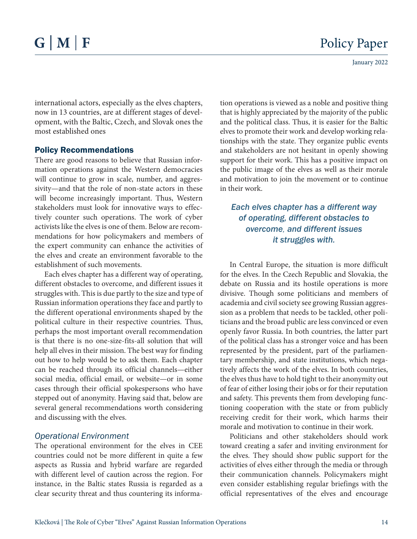January 2022

international actors, especially as the elves chapters, now in 13 countries, are at different stages of development, with the Baltic, Czech, and Slovak ones the most established ones

#### Policy Recommendations

There are good reasons to believe that Russian information operations against the Western democracies will continue to grow in scale, number, and aggressivity—and that the role of non-state actors in these will become increasingly important. Thus, Western stakeholders must look for innovative ways to effectively counter such operations. The work of cyber activists like the elves is one of them. Below are recommendations for how policymakers and members of the expert community can enhance the activities of the elves and create an environment favorable to the establishment of such movements.

Each elves chapter has a different way of operating, different obstacles to overcome, and different issues it struggles with. This is due partly to the size and type of Russian information operations they face and partly to the different operational environments shaped by the political culture in their respective countries. Thus, perhaps the most important overall recommendation is that there is no one-size-fits-all solution that will help all elves in their mission. The best way for finding out how to help would be to ask them. Each chapter can be reached through its official channels—either social media, official email, or website—or in some cases through their official spokespersons who have stepped out of anonymity. Having said that, below are several general recommendations worth considering and discussing with the elves.

#### *Operational Environment*

The operational environment for the elves in CEE countries could not be more different in quite a few aspects as Russia and hybrid warfare are regarded with different level of caution across the region. For instance, in the Baltic states Russia is regarded as a clear security threat and thus countering its information operations is viewed as a noble and positive thing that is highly appreciated by the majority of the public and the political class. Thus, it is easier for the Baltic elves to promote their work and develop working relationships with the state. They organize public events and stakeholders are not hesitant in openly showing support for their work. This has a positive impact on the public image of the elves as well as their morale and motivation to join the movement or to continue in their work.

# *Each elves chapter has a different way of operating, different obstacles to overcome, and different issues it struggles with.*

In Central Europe, the situation is more difficult for the elves. In the Czech Republic and Slovakia, the debate on Russia and its hostile operations is more divisive. Though some politicians and members of academia and civil society see growing Russian aggression as a problem that needs to be tackled, other politicians and the broad public are less convinced or even openly favor Russia. In both countries, the latter part of the political class has a stronger voice and has been represented by the president, part of the parliamentary membership, and state institutions, which negatively affects the work of the elves. In both countries, the elves thus have to hold tight to their anonymity out of fear of either losing their jobs or for their reputation and safety. This prevents them from developing functioning cooperation with the state or from publicly receiving credit for their work, which harms their morale and motivation to continue in their work.

Politicians and other stakeholders should work toward creating a safer and inviting environment for the elves. They should show public support for the activities of elves either through the media or through their communication channels. Policymakers might even consider establishing regular briefings with the official representatives of the elves and encourage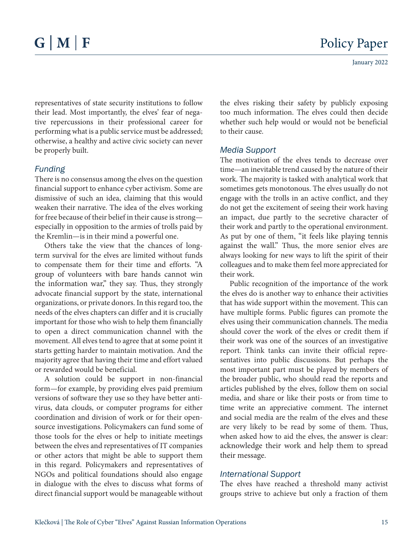representatives of state security institutions to follow their lead. Most importantly, the elves' fear of negative repercussions in their professional career for performing what is a public service must be addressed; otherwise, a healthy and active civic society can never be properly built.

### *Funding*

There is no consensus among the elves on the question financial support to enhance cyber activism. Some are dismissive of such an idea, claiming that this would weaken their narrative. The idea of the elves working for free because of their belief in their cause is strong especially in opposition to the armies of trolls paid by the Kremlin—is in their mind a powerful one.

Others take the view that the chances of longterm survival for the elves are limited without funds to compensate them for their time and efforts. "A group of volunteers with bare hands cannot win the information war," they say. Thus, they strongly advocate financial support by the state, international organizations, or private donors. In this regard too, the needs of the elves chapters can differ and it is crucially important for those who wish to help them financially to open a direct communication channel with the movement. All elves tend to agree that at some point it starts getting harder to maintain motivation. And the majority agree that having their time and effort valued or rewarded would be beneficial.

A solution could be support in non-financial form—for example, by providing elves paid premium versions of software they use so they have better antivirus, data clouds, or computer programs for either coordination and division of work or for their opensource investigations. Policymakers can fund some of those tools for the elves or help to initiate meetings between the elves and representatives of IT companies or other actors that might be able to support them in this regard. Policymakers and representatives of NGOs and political foundations should also engage in dialogue with the elves to discuss what forms of direct financial support would be manageable without

the elves risking their safety by publicly exposing too much information. The elves could then decide whether such help would or would not be beneficial to their cause.

#### *Media Support*

The motivation of the elves tends to decrease over time—an inevitable trend caused by the nature of their work. The majority is tasked with analytical work that sometimes gets monotonous. The elves usually do not engage with the trolls in an active conflict, and they do not get the excitement of seeing their work having an impact, due partly to the secretive character of their work and partly to the operational environment. As put by one of them, "it feels like playing tennis against the wall." Thus, the more senior elves are always looking for new ways to lift the spirit of their colleagues and to make them feel more appreciated for their work.

Public recognition of the importance of the work the elves do is another way to enhance their activities that has wide support within the movement. This can have multiple forms. Public figures can promote the elves using their communication channels. The media should cover the work of the elves or credit them if their work was one of the sources of an investigative report. Think tanks can invite their official representatives into public discussions. But perhaps the most important part must be played by members of the broader public, who should read the reports and articles published by the elves, follow them on social media, and share or like their posts or from time to time write an appreciative comment. The internet and social media are the realm of the elves and these are very likely to be read by some of them. Thus, when asked how to aid the elves, the answer is clear: acknowledge their work and help them to spread their message.

### *International Support*

The elves have reached a threshold many activist groups strive to achieve but only a fraction of them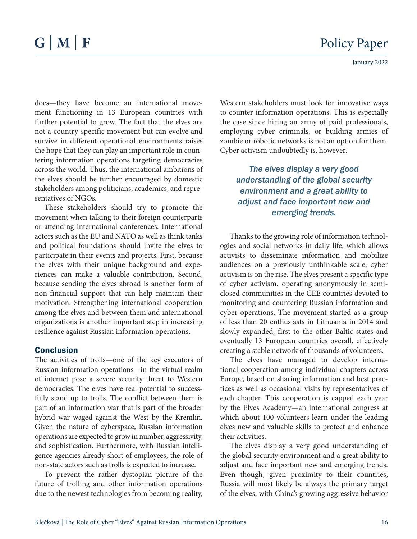does—they have become an international movement functioning in 13 European countries with further potential to grow. The fact that the elves are not a country-specific movement but can evolve and survive in different operational environments raises the hope that they can play an important role in countering information operations targeting democracies across the world. Thus, the international ambitions of the elves should be further encouraged by domestic stakeholders among politicians, academics, and representatives of NGOs.

These stakeholders should try to promote the movement when talking to their foreign counterparts or attending international conferences. International actors such as the EU and NATO as well as think tanks and political foundations should invite the elves to participate in their events and projects. First, because the elves with their unique background and experiences can make a valuable contribution. Second, because sending the elves abroad is another form of non-financial support that can help maintain their motivation. Strengthening international cooperation among the elves and between them and international organizations is another important step in increasing resilience against Russian information operations.

#### Conclusion

The activities of trolls—one of the key executors of Russian information operations—in the virtual realm of internet pose a severe security threat to Western democracies. The elves have real potential to successfully stand up to trolls. The conflict between them is part of an information war that is part of the broader hybrid war waged against the West by the Kremlin. Given the nature of cyberspace, Russian information operations are expected to grow in number, aggressivity, and sophistication. Furthermore, with Russian intelligence agencies already short of employees, the role of non-state actors such as trolls is expected to increase.

To prevent the rather dystopian picture of the future of trolling and other information operations due to the newest technologies from becoming reality, Western stakeholders must look for innovative ways to counter information operations. This is especially the case since hiring an army of paid professionals, employing cyber criminals, or building armies of zombie or robotic networks is not an option for them. Cyber activism undoubtedly is, however.

# *The elves display a very good understanding of the global security environment and a great ability to adjust and face important new and emerging trends.*

Thanks to the growing role of information technologies and social networks in daily life, which allows activists to disseminate information and mobilize audiences on a previously unthinkable scale, cyber activism is on the rise. The elves present a specific type of cyber activism, operating anonymously in semiclosed communities in the CEE countries devoted to monitoring and countering Russian information and cyber operations. The movement started as a group of less than 20 enthusiasts in Lithuania in 2014 and slowly expanded, first to the other Baltic states and eventually 13 European countries overall, effectively creating a stable network of thousands of volunteers.

The elves have managed to develop international cooperation among individual chapters across Europe, based on sharing information and best practices as well as occasional visits by representatives of each chapter. This cooperation is capped each year by the Elves Academy—an international congress at which about 100 volunteers learn under the leading elves new and valuable skills to protect and enhance their activities.

The elves display a very good understanding of the global security environment and a great ability to adjust and face important new and emerging trends. Even though, given proximity to their countries, Russia will most likely be always the primary target of the elves, with China's growing aggressive behavior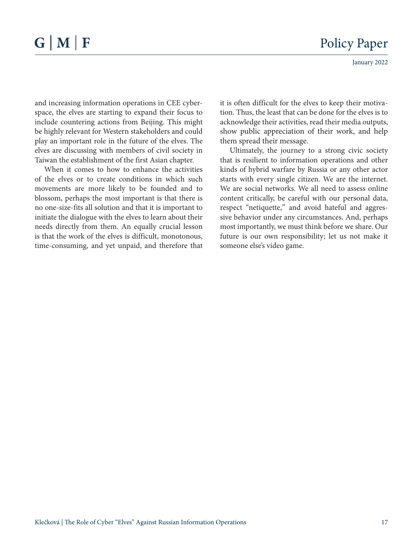and increasing information operations in CEE cyberspace, the elves are starting to expand their focus to include countering actions from Beijing. This might be highly relevant for Western stakeholders and could play an important role in the future of the elves. The elves are discussing with members of civil society in Taiwan the establishment of the first Asian chapter.

When it comes to how to enhance the activities of the elves or to create conditions in which such movements are more likely to be founded and to blossom, perhaps the most important is that there is no one-size-fits all solution and that it is important to initiate the dialogue with the elves to learn about their needs directly from them. An equally crucial lesson is that the work of the elves is difficult, monotonous, time-consuming, and yet unpaid, and therefore that it is often difficult for the elves to keep their motivation. Thus, the least that can be done for the elves is to acknowledge their activities, read their media outputs, show public appreciation of their work, and help them spread their message.

Ultimately, the journey to a strong civic society that is resilient to information operations and other kinds of hybrid warfare by Russia or any other actor starts with every single citizen. We are the internet. We are social networks. We all need to assess online content critically, be careful with our personal data, respect "netiquette," and avoid hateful and aggressive behavior under any circumstances. And, perhaps most importantly, we must think before we share. Our future is our own responsibility; let us not make it someone else's video game.